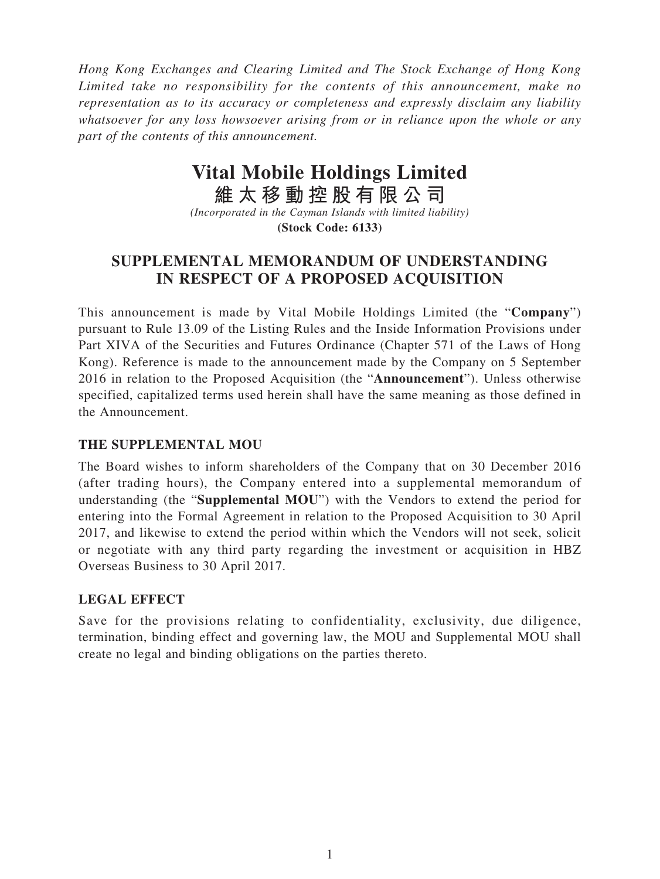*Hong Kong Exchanges and Clearing Limited and The Stock Exchange of Hong Kong Limited take no responsibility for the contents of this announcement, make no representation as to its accuracy or completeness and expressly disclaim any liability whatsoever for any loss howsoever arising from or in reliance upon the whole or any part of the contents of this announcement.*

# **Vital Mobile Holdings Limited**

**維太移動控股有限公司**

*(Incorporated in the Cayman Islands with limited liability)* **(Stock Code: 6133)**

## **SUPPLEMENTAL MEMORANDUM OF UNDERSTANDING IN RESPECT OF A PROPOSED ACQUISITION**

This announcement is made by Vital Mobile Holdings Limited (the "**Company**") pursuant to Rule 13.09 of the Listing Rules and the Inside Information Provisions under Part XIVA of the Securities and Futures Ordinance (Chapter 571 of the Laws of Hong Kong). Reference is made to the announcement made by the Company on 5 September 2016 in relation to the Proposed Acquisition (the "**Announcement**"). Unless otherwise specified, capitalized terms used herein shall have the same meaning as those defined in the Announcement.

### **THE SUPPLEMENTAL MOU**

The Board wishes to inform shareholders of the Company that on 30 December 2016 (after trading hours), the Company entered into a supplemental memorandum of understanding (the "**Supplemental MOU**") with the Vendors to extend the period for entering into the Formal Agreement in relation to the Proposed Acquisition to 30 April 2017, and likewise to extend the period within which the Vendors will not seek, solicit or negotiate with any third party regarding the investment or acquisition in HBZ Overseas Business to 30 April 2017.

### **LEGAL EFFECT**

Save for the provisions relating to confidentiality, exclusivity, due diligence, termination, binding effect and governing law, the MOU and Supplemental MOU shall create no legal and binding obligations on the parties thereto.